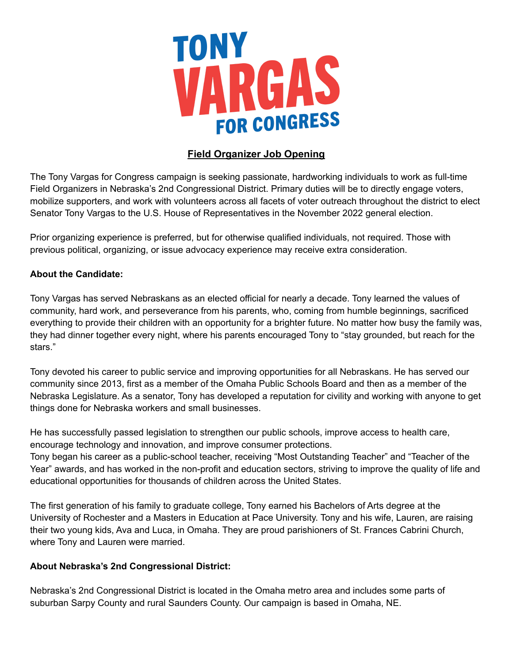

# **Field Organizer Job Opening**

The Tony Vargas for Congress campaign is seeking passionate, hardworking individuals to work as full-time Field Organizers in Nebraska's 2nd Congressional District. Primary duties will be to directly engage voters, mobilize supporters, and work with volunteers across all facets of voter outreach throughout the district to elect Senator Tony Vargas to the U.S. House of Representatives in the November 2022 general election.

Prior organizing experience is preferred, but for otherwise qualified individuals, not required. Those with previous political, organizing, or issue advocacy experience may receive extra consideration.

## **About the Candidate:**

Tony Vargas has served Nebraskans as an elected official for nearly a decade. Tony learned the values of community, hard work, and perseverance from his parents, who, coming from humble beginnings, sacrificed everything to provide their children with an opportunity for a brighter future. No matter how busy the family was, they had dinner together every night, where his parents encouraged Tony to "stay grounded, but reach for the stars."

Tony devoted his career to public service and improving opportunities for all Nebraskans. He has served our community since 2013, first as a member of the Omaha Public Schools Board and then as a member of the Nebraska Legislature. As a senator, Tony has developed a reputation for civility and working with anyone to get things done for Nebraska workers and small businesses.

He has successfully passed legislation to strengthen our public schools, improve access to health care, encourage technology and innovation, and improve consumer protections.

Tony began his career as a public-school teacher, receiving "Most Outstanding Teacher" and "Teacher of the Year" awards, and has worked in the non-profit and education sectors, striving to improve the quality of life and educational opportunities for thousands of children across the United States.

The first generation of his family to graduate college, Tony earned his Bachelors of Arts degree at the University of Rochester and a Masters in Education at Pace University. Tony and his wife, Lauren, are raising their two young kids, Ava and Luca, in Omaha. They are proud parishioners of St. Frances Cabrini Church, where Tony and Lauren were married.

### **About Nebraska's 2nd Congressional District:**

Nebraska's 2nd Congressional District is located in the Omaha metro area and includes some parts of suburban Sarpy County and rural Saunders County. Our campaign is based in Omaha, NE.